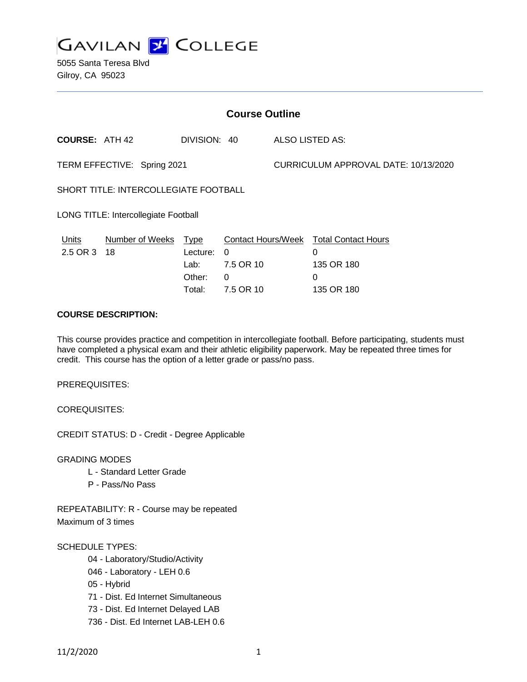

5055 Santa Teresa Blvd Gilroy, CA 95023

| <b>Course Outline</b>                 |                        |                                                     |                                                               |                                      |                                                                  |
|---------------------------------------|------------------------|-----------------------------------------------------|---------------------------------------------------------------|--------------------------------------|------------------------------------------------------------------|
| <b>COURSE: ATH 42</b>                 |                        | DIVISION: 40                                        |                                                               | ALSO LISTED AS:                      |                                                                  |
| TERM EFFECTIVE: Spring 2021           |                        |                                                     |                                                               | CURRICULUM APPROVAL DATE: 10/13/2020 |                                                                  |
| SHORT TITLE: INTERCOLLEGIATE FOOTBALL |                        |                                                     |                                                               |                                      |                                                                  |
| LONG TITLE: Intercollegiate Football  |                        |                                                     |                                                               |                                      |                                                                  |
| Units<br>2.5 OR 3                     | Number of Weeks<br>-18 | <u>Type</u><br>Lecture:<br>Lab:<br>Other:<br>Total: | <b>Contact Hours/Week</b><br>0<br>7.5 OR 10<br>0<br>7.5 OR 10 |                                      | <b>Total Contact Hours</b><br>0<br>135 OR 180<br>0<br>135 OR 180 |

# **COURSE DESCRIPTION:**

This course provides practice and competition in intercollegiate football. Before participating, students must have completed a physical exam and their athletic eligibility paperwork. May be repeated three times for credit. This course has the option of a letter grade or pass/no pass.

PREREQUISITES:

COREQUISITES:

CREDIT STATUS: D - Credit - Degree Applicable

GRADING MODES

- L Standard Letter Grade
- P Pass/No Pass

REPEATABILITY: R - Course may be repeated Maximum of 3 times

#### SCHEDULE TYPES:

- 04 Laboratory/Studio/Activity
- 046 Laboratory LEH 0.6
- 05 Hybrid
- 71 Dist. Ed Internet Simultaneous
- 73 Dist. Ed Internet Delayed LAB
- 736 Dist. Ed Internet LAB-LEH 0.6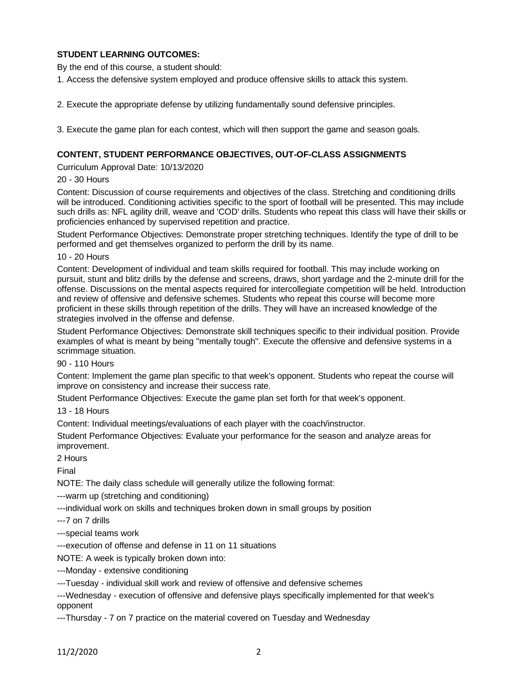# **STUDENT LEARNING OUTCOMES:**

By the end of this course, a student should:

1. Access the defensive system employed and produce offensive skills to attack this system.

2. Execute the appropriate defense by utilizing fundamentally sound defensive principles.

3. Execute the game plan for each contest, which will then support the game and season goals.

#### **CONTENT, STUDENT PERFORMANCE OBJECTIVES, OUT-OF-CLASS ASSIGNMENTS**

Curriculum Approval Date: 10/13/2020

#### 20 - 30 Hours

Content: Discussion of course requirements and objectives of the class. Stretching and conditioning drills will be introduced. Conditioning activities specific to the sport of football will be presented. This may include such drills as: NFL agility drill, weave and 'COD' drills. Students who repeat this class will have their skills or proficiencies enhanced by supervised repetition and practice.

Student Performance Objectives: Demonstrate proper stretching techniques. Identify the type of drill to be performed and get themselves organized to perform the drill by its name.

10 - 20 Hours

Content: Development of individual and team skills required for football. This may include working on pursuit, stunt and blitz drills by the defense and screens, draws, short yardage and the 2-minute drill for the offense. Discussions on the mental aspects required for intercollegiate competition will be held. Introduction and review of offensive and defensive schemes. Students who repeat this course will become more proficient in these skills through repetition of the drills. They will have an increased knowledge of the strategies involved in the offense and defense.

Student Performance Objectives: Demonstrate skill techniques specific to their individual position. Provide examples of what is meant by being "mentally tough". Execute the offensive and defensive systems in a scrimmage situation.

90 - 110 Hours

Content: Implement the game plan specific to that week's opponent. Students who repeat the course will improve on consistency and increase their success rate.

Student Performance Objectives: Execute the game plan set forth for that week's opponent.

13 - 18 Hours

Content: Individual meetings/evaluations of each player with the coach/instructor.

Student Performance Objectives: Evaluate your performance for the season and analyze areas for improvement.

2 Hours

Final

NOTE: The daily class schedule will generally utilize the following format:

---warm up (stretching and conditioning)

---individual work on skills and techniques broken down in small groups by position

---7 on 7 drills

---special teams work

---execution of offense and defense in 11 on 11 situations

NOTE: A week is typically broken down into:

---Monday - extensive conditioning

---Tuesday - individual skill work and review of offensive and defensive schemes

---Wednesday - execution of offensive and defensive plays specifically implemented for that week's opponent

---Thursday - 7 on 7 practice on the material covered on Tuesday and Wednesday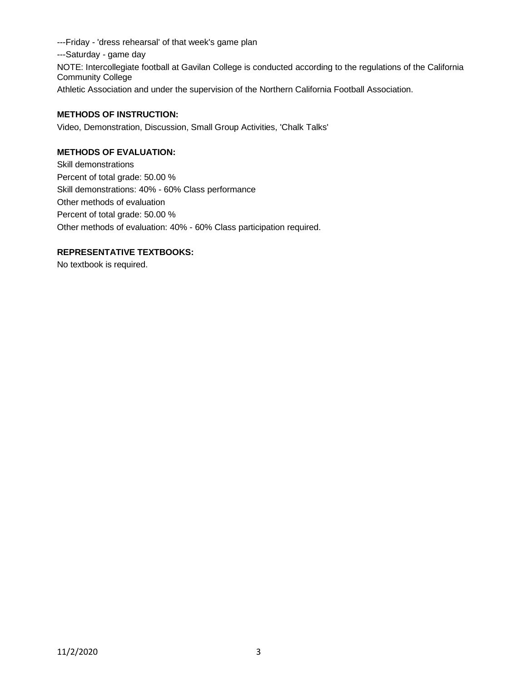---Friday - 'dress rehearsal' of that week's game plan ---Saturday - game day NOTE: Intercollegiate football at Gavilan College is conducted according to the regulations of the California Community College Athletic Association and under the supervision of the Northern California Football Association.

### **METHODS OF INSTRUCTION:**

Video, Demonstration, Discussion, Small Group Activities, 'Chalk Talks'

# **METHODS OF EVALUATION:**

Skill demonstrations Percent of total grade: 50.00 % Skill demonstrations: 40% - 60% Class performance Other methods of evaluation Percent of total grade: 50.00 % Other methods of evaluation: 40% - 60% Class participation required.

### **REPRESENTATIVE TEXTBOOKS:**

No textbook is required.